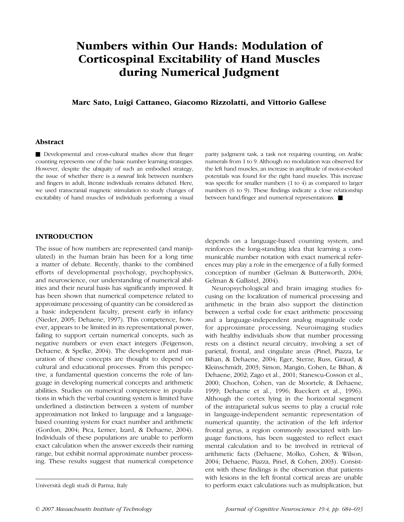# Numbers within Our Hands: Modulation of Corticospinal Excitability of Hand Muscles during Numerical Judgment

Marc Sato, Luigi Cattaneo, Giacomo Rizzolatti, and Vittorio Gallese

## Abstract

**Developmental and cross-cultural studies show that finger** counting represents one of the basic number learning strategies. However, despite the ubiquity of such an embodied strategy, the issue of whether there is a *neural* link between numbers and fingers in adult, literate individuals remains debated. Here, we used transcranial magnetic stimulation to study changes of excitability of hand muscles of individuals performing a visual

parity judgment task, a task not requiring counting, on Arabic numerals from 1 to 9. Although no modulation was observed for the left hand muscles, an increase in amplitude of motor-evoked potentials was found for the right hand muscles. This increase was specific for smaller numbers (1 to 4) as compared to larger numbers (6 to 9). These findings indicate a close relationship between hand/finger and numerical representations.  $\blacksquare$ 

# INTRODUCTION

The issue of how numbers are represented (and manipulated) in the human brain has been for a long time a matter of debate. Recently, thanks to the combined efforts of developmental psychology, psychophysics, and neuroscience, our understanding of numerical abilities and their neural basis has significantly improved. It has been shown that numerical competence related to approximate processing of quantity can be considered as a basic independent faculty, present early in infancy (Nieder, 2005; Dehaene, 1997). This competence, however, appears to be limited in its representational power, failing to support certain numerical concepts, such as negative numbers or even exact integers (Feigenson, Dehaene, & Spelke, 2004). The development and maturation of these concepts are thought to depend on cultural and educational processes. From this perspective, a fundamental question concerns the role of language in developing numerical concepts and arithmetic abilities. Studies on numerical competence in populations in which the verbal counting system is limited have underlined a distinction between a system of number approximation not linked to language and a languagebased counting system for exact number and arithmetic (Gordon, 2004; Pica, Lemer, Izard, & Dehaene, 2004). Individuals of these populations are unable to perform exact calculation when the answer exceeds their naming range, but exhibit normal approximate number processing. These results suggest that numerical competence

depends on a language-based counting system, and reinforces the long-standing idea that learning a communicable number notation with exact numerical references may play a role in the emergence of a fully formed conception of number (Gelman & Butterworth, 2004; Gelman & Gallistel, 2004).

Neuropsychological and brain imaging studies focusing on the localization of numerical processing and arithmetic in the brain also support the distinction between a verbal code for exact arithmetic processing and a language-independent analog magnitude code for approximate processing. Neuroimaging studies with healthy individuals show that number processing rests on a distinct neural circuitry, involving a set of parietal, frontal, and cingulate areas (Pinel, Piazza, Le Bihan, & Dehaene, 2004; Eger, Sterze, Russ, Giraud, & Kleinschmidt, 2003; Simon, Mangin, Cohen, Le Bihan, & Dehaene, 2002; Zago et al., 2001; Stanescu-Cosson et al., 2000; Chochon, Cohen, van de Moortele, & Dehaene, 1999; Dehaene et al., 1996; Rueckert et al., 1996). Although the cortex lying in the horizontal segment of the intraparietal sulcus seems to play a crucial role in language-independent semantic representation of numerical quantity, the activation of the left inferior frontal gyrus, a region commonly associated with language functions, has been suggested to reflect exact mental calculation and to be involved in retrieval of arithmetic facts (Dehaene, Molko, Cohen, & Wilson, 2004; Dehaene, Piazza, Pinel, & Cohen, 2003). Consistent with these findings is the observation that patients with lesions in the left frontal cortical areas are unable Universita` degli studi di Parma, Italy to perform exact calculations such as multiplication, but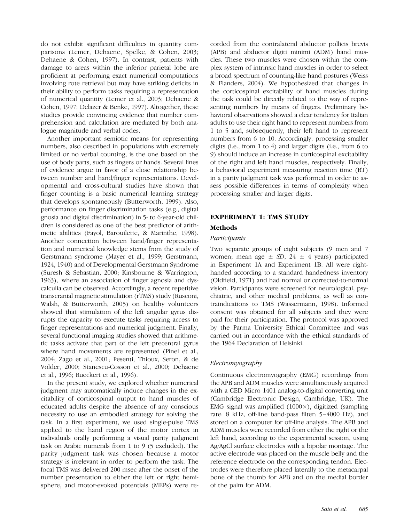do not exhibit significant difficulties in quantity comparisons (Lemer, Dehaene, Spelke, & Cohen, 2003; Dehaene & Cohen, 1997). In contrast, patients with damage to areas within the inferior parietal lobe are proficient at performing exact numerical computations involving rote retrieval but may have striking deficits in their ability to perform tasks requiring a representation of numerical quantity (Lemer et al., 2003; Dehaene & Cohen, 1997; Delazer & Benke, 1997). Altogether, these studies provide convincing evidence that number comprehension and calculation are mediated by both analogue magnitude and verbal codes.

Another important semiotic means for representing numbers, also described in populations with extremely limited or no verbal counting, is the one based on the use of body parts, such as fingers or hands. Several lines of evidence argue in favor of a close relationship between number and hand/finger representations. Developmental and cross-cultural studies have shown that finger counting is a basic numerical learning strategy that develops spontaneously (Butterworth, 1999). Also, performance on finger discrimination tasks (e.g., digital gnosia and digital discrimination) in 5- to 6-year-old children is considered as one of the best predictor of arithmetic abilities (Fayol, Barouilette, & Marinthe, 1998). Another connection between hand/finger representation and numerical knowledge stems from the study of Gerstmann syndrome (Mayer et al., 1999; Gerstmann, 1924, 1940) and of Developmental Gerstmann Syndrome (Suresh & Sebastian, 2000; Kinsbourne & Warrington, 1963), where an association of finger agnosia and dyscalculia can be observed. Accordingly, a recent repetitive transcranial magnetic stimulation (rTMS) study (Rusconi, Walsh, & Butterworth, 2005) on healthy volunteers showed that stimulation of the left angular gyrus disrupts the capacity to execute tasks requiring access to finger representations and numerical judgment. Finally, several functional imaging studies showed that arithmetic tasks activate that part of the left precentral gyrus where hand movements are represented (Pinel et al., 2004; Zago et al., 2001; Pesenti, Thioux, Seron, & de Volder, 2000; Stanescu-Cosson et al., 2000; Dehaene et al., 1996; Rueckert et al., 1996).

In the present study, we explored whether numerical judgment may automatically induce changes in the excitability of corticospinal output to hand muscles of educated adults despite the absence of any conscious necessity to use an embodied strategy for solving the task. In a first experiment, we used single-pulse TMS applied to the hand region of the motor cortex in individuals orally performing a visual parity judgment task on Arabic numerals from 1 to 9 (5 excluded). The parity judgment task was chosen because a motor strategy is irrelevant in order to perform the task. The focal TMS was delivered 200 msec after the onset of the number presentation to either the left or right hemisphere, and motor-evoked potentials (MEPs) were recorded from the contralateral abductor pollicis brevis (APB) and abductor digiti minimi (ADM) hand muscles. These two muscles were chosen within the complex system of intrinsic hand muscles in order to select a broad spectrum of counting-like hand postures (Weiss & Flanders, 2004). We hypothesized that changes in the corticospinal excitability of hand muscles during the task could be directly related to the way of representing numbers by means of fingers. Preliminary behavioral observations showed a clear tendency for Italian adults to use their right hand to represent numbers from 1 to 5 and, subsequently, their left hand to represent numbers from 6 to 10. Accordingly, processing smaller digits (i.e., from 1 to 4) and larger digits (i.e., from 6 to 9) should induce an increase in corticospinal excitability of the right and left hand muscles, respectively. Finally, a behavioral experiment measuring reaction time (RT) in a parity judgment task was performed in order to assess possible differences in terms of complexity when processing smaller and larger digits.

# EXPERIMENT 1: TMS STUDY

# Methods

# Participants

Two separate groups of eight subjects (9 men and 7 women; mean age  $\pm$  SD, 24  $\pm$  4 years) participated in Experiment 1A and Experiment 1B. All were righthanded according to a standard handedness inventory (Oldfield, 1971) and had normal or corrected-to-normal vision. Participants were screened for neurological, psychiatric, and other medical problems, as well as contraindications to TMS (Wassermann, 1998). Informed consent was obtained for all subjects and they were paid for their participation. The protocol was approved by the Parma University Ethical Committee and was carried out in accordance with the ethical standards of the 1964 Declaration of Helsinki.

# Electromyography

Continuous electromyography (EMG) recordings from the APB and ADM muscles were simultaneously acquired with a CED Micro 1401 analog-to-digital converting unit (Cambridge Electronic Design, Cambridge, UK). The EMG signal was amplified  $(1000\times)$ , digitized (sampling rate: 8 kHz, off-line band-pass filter: 5–4000 Hz), and stored on a computer for off-line analysis. The APB and ADM muscles were recorded from either the right or the left hand, according to the experimental session, using Ag/AgCl surface electrodes with a bipolar montage. The active electrode was placed on the muscle belly and the reference electrode on the corresponding tendon. Electrodes were therefore placed laterally to the metacarpal bone of the thumb for APB and on the medial border of the palm for ADM.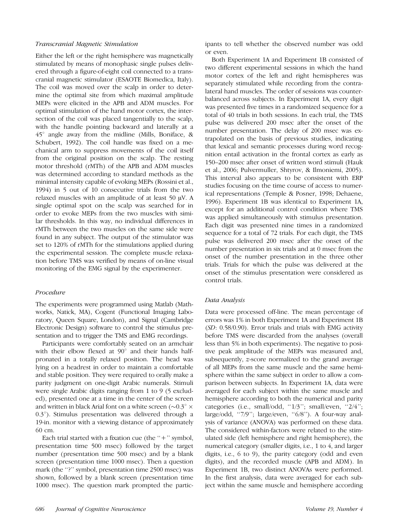# Transcranial Magnetic Stimulation

Either the left or the right hemisphere was magnetically stimulated by means of monophasic single pulses delivered through a figure-of-eight coil connected to a transcranial magnetic stimulator (ESAOTE Biomedica, Italy). The coil was moved over the scalp in order to determine the optimal site from which maximal amplitude MEPs were elicited in the APB and ADM muscles. For optimal stimulation of the hand motor cortex, the intersection of the coil was placed tangentially to the scalp, with the handle pointing backward and laterally at a  $45^\circ$  angle away from the midline (Mills, Boniface, & Schubert, 1992). The coil handle was fixed on a mechanical arm to suppress movements of the coil itself from the original position on the scalp. The resting motor threshold (rMTh) of the APB and ADM muscles was determined according to standard methods as the minimal intensity capable of evoking MEPs (Rossini et al., 1994) in 5 out of 10 consecutive trials from the two relaxed muscles with an amplitude of at least 50  $\mu$ V. A single optimal spot on the scalp was searched for in order to evoke MEPs from the two muscles with similar thresholds. In this way, no individual differences in rMTh between the two muscles on the same side were found in any subject. The output of the stimulator was set to 120% of rMTh for the stimulations applied during the experimental session. The complete muscle relaxation before TMS was verified by means of on-line visual monitoring of the EMG signal by the experimenter.

# Procedure

The experiments were programmed using Matlab (Mathworks, Natick, MA), Cogent (Functional Imaging Laboratory, Queen Square, London), and Signal (Cambridge Electronic Design) software to control the stimulus presentation and to trigger the TMS and EMG recordings.

Participants were comfortably seated on an armchair with their elbow flexed at  $90^\circ$  and their hands halfpronated in a totally relaxed position. The head was lying on a headrest in order to maintain a comfortable and stable position. They were required to orally make a parity judgment on one-digit Arabic numerals. Stimuli were single Arabic digits ranging from 1 to 9 (5 excluded), presented one at a time in the center of the screen and written in black Arial font on a white screen ( ${\sim}0.3^{\circ}$   ${\times}$  $0.3^{\circ}$ ). Stimulus presentation was delivered through a 19-in. monitor with a viewing distance of approximately 60 cm.

Each trial started with a fixation cue (the " $+$ " symbol, presentation time 500 msec) followed by the target number (presentation time 500 msec) and by a blank screen (presentation time 1000 msec). Then a question mark (the "?" symbol, presentation time 2500 msec) was shown, followed by a blank screen (presentation time 1000 msec). The question mark prompted the participants to tell whether the observed number was odd or even.

Both Experiment 1A and Experiment 1B consisted of two different experimental sessions in which the hand motor cortex of the left and right hemispheres was separately stimulated while recording from the contralateral hand muscles. The order of sessions was counterbalanced across subjects. In Experiment 1A, every digit was presented five times in a randomized sequence for a total of 40 trials in both sessions. In each trial, the TMS pulse was delivered 200 msec after the onset of the number presentation. The delay of 200 msec was extrapolated on the basis of previous studies, indicating that lexical and semantic processes during word recognition entail activation in the frontal cortex as early as 150–200 msec after onset of written word stimuli (Hauk et al., 2006; Pulvermuller, Shtyrov, & Ilmoniemi, 2005). This interval also appears to be consistent with ERP studies focusing on the time course of access to numerical representations (Temple & Posner, 1998; Dehaene, 1996). Experiment 1B was identical to Experiment 1A, except for an additional control condition where TMS was applied simultaneously with stimulus presentation. Each digit was presented nine times in a randomized sequence for a total of 72 trials. For each digit, the TMS pulse was delivered 200 msec after the onset of the number presentation in six trials and at 0 msec from the onset of the number presentation in the three other trials. Trials for which the pulse was delivered at the onset of the stimulus presentation were considered as control trials.

# Data Analysis

Data were processed off-line. The mean percentage of errors was 1% in both Experiment 1A and Experiment 1B (SD: 0.58/0.90). Error trials and trials with EMG activity before TMS were discarded from the analyses (overall less than 5% in both experiments). The negative to positive peak amplitude of the MEPs was measured and, subsequently, z-score normalized to the grand average of all MEPs from the same muscle and the same hemisphere within the same subject in order to allow a comparison between subjects. In Experiment 1A, data were averaged for each subject within the same muscle and hemisphere according to both the numerical and parity categories (i.e., small/odd, ''1/3''; small/even, ''2/4''; large/odd, "7/9"; large/even, "6/8"). A four-way analysis of variance (ANOVA) was performed on these data. The considered within-factors were related to the stimulated side (left hemisphere and right hemisphere), the numerical category (smaller digits, i.e., 1 to 4, and larger digits, i.e., 6 to 9), the parity category (odd and even digits), and the recorded muscle (APB and ADM). In Experiment 1B, two distinct ANOVAs were performed. In the first analysis, data were averaged for each subject within the same muscle and hemisphere according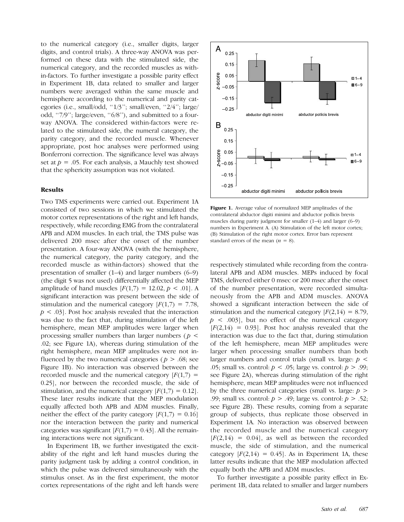to the numerical category (i.e., smaller digits, larger digits, and control trials). A three-way ANOVA was performed on these data with the stimulated side, the numerical category, and the recorded muscles as within-factors. To further investigate a possible parity effect in Experiment 1B, data related to smaller and larger numbers were averaged within the same muscle and hemisphere according to the numerical and parity categories (i.e., small/odd, ''1/3''; small/even, ''2/4''; large/ odd, ''7/9''; large/even, ''6/8''), and submitted to a fourway ANOVA. The considered within-factors were related to the stimulated side, the numeral category, the parity category, and the recorded muscle. Whenever appropriate, post hoc analyses were performed using Bonferroni correction. The significance level was always set at  $p = 0.05$ . For each analysis, a Mauchly test showed that the sphericity assumption was not violated.

### Results

Two TMS experiments were carried out. Experiment 1A consisted of two sessions in which we stimulated the motor cortex representations of the right and left hands, respectively, while recording EMG from the contralateral APB and ADM muscles. In each trial, the TMS pulse was delivered 200 msec after the onset of the number presentation. A four-way ANOVA (with the hemisphere, the numerical category, the parity category, and the recorded muscle as within-factors) showed that the presentation of smaller  $(1-4)$  and larger numbers  $(6-9)$ (the digit 5 was not used) differentially affected the MEP amplitude of hand muscles  $[F(1,7) = 12.02, p < .01]$ . A significant interaction was present between the side of stimulation and the numerical category  $[F(1,7) = 7.78]$ ,  $p < .03$ ]. Post hoc analysis revealed that the interaction was due to the fact that, during stimulation of the left hemisphere, mean MEP amplitudes were larger when processing smaller numbers than larger numbers ( $p <$ .02; see Figure 1A), whereas during stimulation of the right hemisphere, mean MEP amplitudes were not influenced by the two numerical categories ( $p > .68$ ; see Figure 1B). No interaction was observed between the recorded muscle and the numerical category  $[F(1,7)] =$ 0.25], nor between the recorded muscle, the side of stimulation, and the numerical category  $[F(1,7) = 0.12]$ . These later results indicate that the MEP modulation equally affected both APB and ADM muscles. Finally, neither the effect of the parity category  $[F(1,7) = 0.16]$ nor the interaction between the parity and numerical categories was significant  $[F(1,7) = 0.43]$ . All the remaining interactions were not significant.

In Experiment 1B, we further investigated the excitability of the right and left hand muscles during the parity judgment task by adding a control condition, in which the pulse was delivered simultaneously with the stimulus onset. As in the first experiment, the motor cortex representations of the right and left hands were



Figure 1. Average value of normalized MEP amplitudes of the contralateral abductor digiti minimi and abductor pollicis brevis muscles during parity judgment for smaller (1–4) and larger (6–9) numbers in Experiment A. (A) Stimulation of the left motor cortex; (B) Stimulation of the right motor cortex. Error bars represent standard errors of the mean  $(n = 8)$ .

respectively stimulated while recording from the contralateral APB and ADM muscles. MEPs induced by focal TMS, delivered either 0 msec or 200 msec after the onset of the number presentation, were recorded simultaneously from the APB and ADM muscles. ANOVA showed a significant interaction between the side of stimulation and the numerical category  $[F(2,14) = 8.79]$ ,  $p \leq 0.003$ , but no effect of the numerical category  $[F(2,14) = 0.93]$ . Post hoc analysis revealed that the interaction was due to the fact that, during stimulation of the left hemisphere, mean MEP amplitudes were larger when processing smaller numbers than both larger numbers and control trials (small vs. large:  $p \leq$ .05; small vs. control:  $p < .05$ ; large vs. control:  $p > .99$ ; see Figure 2A), whereas during stimulation of the right hemisphere, mean MEP amplitudes were not influenced by the three numerical categories (small vs. large:  $p >$ .99; small vs. control:  $p > .49$ ; large vs. control:  $p > .52$ ; see Figure 2B). These results, coming from a separate group of subjects, thus replicate those observed in Experiment 1A. No interaction was observed between the recorded muscle and the numerical category  $[F(2,14) = 0.04]$ , as well as between the recorded muscle, the side of stimulation, and the numerical category  $[F(2,14) = 0.45]$ . As in Experiment 1A, these latter results indicate that the MEP modulation affected equally both the APB and ADM muscles.

To further investigate a possible parity effect in Experiment 1B, data related to smaller and larger numbers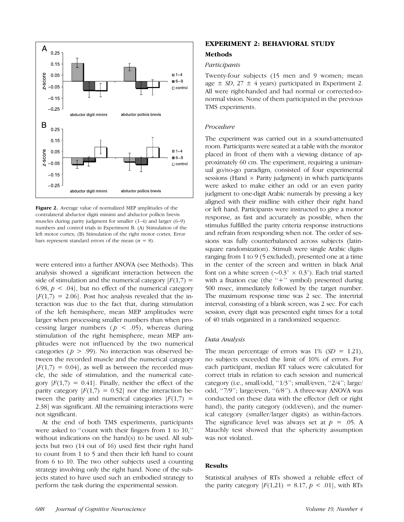

Figure 2. Average value of normalized MEP amplitudes of the contralateral abductor digiti minimi and abductor pollicis brevis muscles during parity judgment for smaller (1–4) and larger (6–9) numbers and control trials in Experiment B. (A) Stimulation of the left motor cortex; (B) Stimulation of the right motor cortex. Error bars represent standard errors of the mean  $(n = 8)$ .

were entered into a further ANOVA (see Methods). This analysis showed a significant interaction between the side of stimulation and the numerical category  $[F(1,7) =$ 6.98,  $p < .04$ , but no effect of the numerical category  $[F(1,7) = 2.06]$ . Post hoc analysis revealed that the interaction was due to the fact that, during stimulation of the left hemisphere, mean MEP amplitudes were larger when processing smaller numbers than when processing larger numbers ( $p \lt 0.05$ ), whereas during stimulation of the right hemisphere, mean MEP amplitudes were not influenced by the two numerical categories ( $p > .99$ ). No interaction was observed between the recorded muscle and the numerical category  $[F(1,7) = 0.04]$ , as well as between the recorded muscle, the side of stimulation, and the numerical category  $[F(1,7) = 0.41]$ . Finally, neither the effect of the parity category  $[F(1,7) = 0.52]$  nor the interaction between the parity and numerical categories  $[F(1,7) =$ 2.38] was significant. All the remaining interactions were not significant.

At the end of both TMS experiments, participants were asked to ''count with their fingers from 1 to 10,'' without indications on the hand(s) to be used. All subjects but two (14 out of 16) used first their right hand to count from 1 to 5 and then their left hand to count from 6 to 10. The two other subjects used a counting strategy involving only the right hand. None of the subjects stated to have used such an embodied strategy to perform the task during the experimental session.

# EXPERIMENT 2: BEHAVIORAL STUDY

#### Methods

#### Participants

Twenty-four subjects (15 men and 9 women; mean age  $\pm$  SD, 27  $\pm$  4 years) participated in Experiment 2. All were right-handed and had normal or corrected-tonormal vision. None of them participated in the previous TMS experiments.

## Procedure

The experiment was carried out in a sound-attenuated room. Participants were seated at a table with the monitor placed in front of them with a viewing distance of approximately 60 cm. The experiment, requiring a unimanual go/no-go paradigm, consisted of four experimental sessions (Hand  $\times$  Parity judgment) in which participants were asked to make either an odd or an even parity judgment to one-digit Arabic numerals by pressing a key aligned with their midline with either their right hand or left hand. Participants were instructed to give a motor response, as fast and accurately as possible, when the stimulus fulfilled the parity criteria response instructions and refrain from responding when not. The order of sessions was fully counterbalanced across subjects (latinsquare randomization). Stimuli were single Arabic digits ranging from 1 to 9 (5 excluded), presented one at a time in the center of the screen and written in black Arial font on a white screen ( ${\sim}0.3^{\circ} \times 0.3^{\circ}$ ). Each trial started with a fixation cue (the " $+$ " symbol) presented during 500 msec, immediately followed by the target number. The maximum response time was 2 sec. The intertrial interval, consisting of a blank screen, was 2 sec. For each session, every digit was presented eight times for a total of 40 trials organized in a randomized sequence.

#### Data Analysis

The mean percentage of errors was  $1\%$  (SD = 1.21), no subjects exceeded the limit of 10% of errors. For each participant, median RT values were calculated for correct trials in relation to each session and numerical category (i.e., small/odd, ''1/3''; small/even, ''2/4''; large/ odd, ''7/9''; large/even, ''6/8''). A three-way ANOVA was conducted on these data with the effector (left or right hand), the parity category (odd/even), and the numerical category (smaller/larger digits) as within-factors. The significance level was always set at  $p = .05$ . A Mauchly test showed that the sphericity assumption was not violated.

## Results

Statistical analyses of RTs showed a reliable effect of the parity category  $[F(1,21) = 8.17, p < .01]$ , with RTs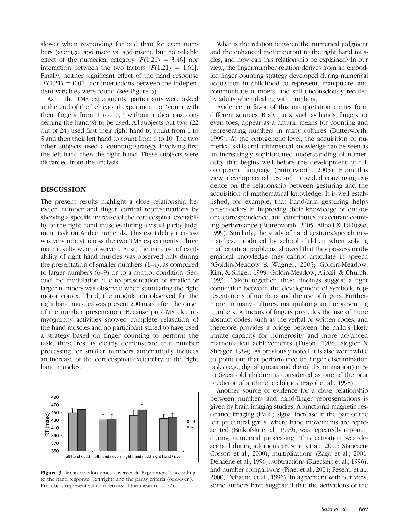slower when responding for odd than for even numbers (average: 456 msec vs. 436 msec), but no reliable effect of the numerical category  $[F(1,21) = 3.46]$  nor interaction between the two factors  $[F(1,21) = 1.61]$ . Finally, neither significant effect of the hand response  $[F(1,21) = 0.01]$  nor interactions between the independent variables were found (see Figure 3).

As in the TMS experiments, participants were asked at the end of the behavioral experiment to ''count with their fingers from 1 to 10,'' without indications concerning the hand(s) to be used. All subjects but two (22 out of 24) used first their right hand to count from 1 to 5 and then their left hand to count from 6 to 10. The two other subjects used a counting strategy involving first the left hand then the right hand. These subjects were discarded from the analysis.

#### DISCUSSION

The present results highlight a close relationship between number and finger cortical representations by showing a specific increase of the corticospinal excitability of the right hand muscles during a visual parity judgment task on Arabic numerals. This excitability increase was very robust across the two TMS experiments. Three main results were observed. First, the increase of excitability of right hand muscles was observed only during the presentation of smaller numbers (1–4), as compared to larger numbers (6–9) or to a control condition. Second, no modulation due to presentation of smaller or larger numbers was observed when stimulating the right motor cortex. Third, the modulation observed for the right hand muscles was present 200 msec after the onset of the number presentation. Because pre-TMS electromyography activities showed complete relaxation of the hand muscles and no participant stated to have used a strategy based on finger counting to perform the task, these results clearly demonstrate that number processing for smaller numbers automatically induces an increase of the corticospinal excitability of the right hand muscles.



Figure 3. Mean reaction times observed in Experiment 2 according to the hand response (left/right) and the parity criteria (odd/even). Error bars represent standard errors of the mean  $(n = 22)$ .

What is the relation between the numerical judgment and the enhanced motor output to the right hand muscles, and how can this relationship be explained? In our view, the finger/number relation derives from an embodied finger counting strategy developed during numerical acquisition in childhood to represent, manipulate, and communicate numbers, and still unconsciously recalled by adults when dealing with numbers.

Evidence in favor of this interpretation comes from different sources. Body parts, such as hands, fingers, or even toes, appear as a natural means for counting and representing numbers in many cultures (Butterworth, 1999). At the ontogenetic level, the acquisition of numerical skills and arithmetical knowledge can be seen as an increasingly sophisticated understanding of numerosity that begins well before the development of full competent language (Butterworth, 2005). From this view, developmental research provided converging evidence on the relationship between gesturing and the acquisition of mathematical knowledge. It is well established, for example, that hand/arm gesturing helps preschoolers in improving their knowledge of one-toone correspondence, and contributes to accurate counting performance (Butterworth, 2005; Alibali & DiRusso, 1999). Similarly, the study of hand gestures/speech mismatches, produced by school children when solving mathematical problems, showed that they possess mathematical knowledge they cannot articulate in speech (Goldin-Meadow & Wagner, 2005; Goldin-Meadow, Kim, & Singer, 1999; Goldin-Meadow, Alibali, & Church, 1993). Taken together, these findings suggest a tight connection between the development of symbolic representations of numbers and the use of fingers. Furthermore, in many cultures, manipulating and representing numbers by means of fingers precedes the use of more abstract codes, such as the verbal or written codes, and therefore provides a bridge between the child's likely innate capacity for numerosity and more advanced mathematical achievements (Fuson, 1988; Siegler & Shrager, 1984). As previously noted, it is also worthwhile to point out that performance on finger discrimination tasks (e.g., digital gnosia and digital discrimination) in 5 to 6-year-old children is considered as one of the best predictor of arithmetic abilities (Fayol et al., 1998).

Another source of evidence for a close relationship between numbers and hand/finger representations is given by brain imaging studies. A functional magnetic resonance imaging (fMRI) signal increase in the part of the left precentral gyrus, where hand movements are represented (Binkofski et al., 1999), was repeatedly reported during numerical processing. This activation was described during additions (Pesenti et al., 2000; Stanescu-Cosson et al., 2000), multiplications (Zago et al., 2001; Dehaene et al., 1996), subtractions (Rueckert et al., 1996), and number comparisons (Pinel et al., 2004; Pesenti et al., 2000; Dehaene et al., 1996). In agreement with our view, some authors have suggested that the activations of the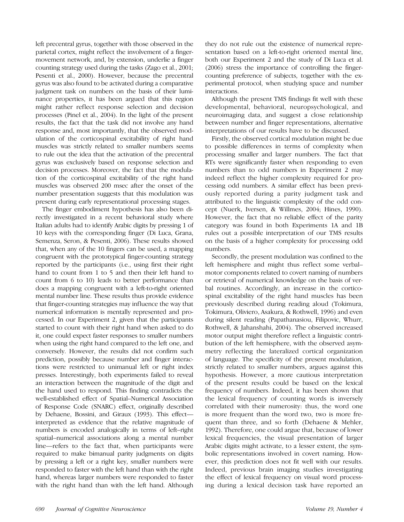left precentral gyrus, together with those observed in the parietal cortex, might reflect the involvement of a fingermovement network, and, by extension, underlie a finger counting strategy used during the tasks (Zago et al., 2001; Pesenti et al., 2000). However, because the precentral gyrus was also found to be activated during a comparative judgment task on numbers on the basis of their luminance properties, it has been argued that this region might rather reflect response selection and decision processes (Pinel et al., 2004). In the light of the present results, the fact that the task did not involve any hand response and, most importantly, that the observed modulation of the corticospinal excitability of right hand muscles was strictly related to smaller numbers seems to rule out the idea that the activation of the precentral gyrus was exclusively based on response selection and decision processes. Moreover, the fact that the modulation of the corticospinal excitability of the right hand muscles was observed 200 msec after the onset of the number presentation suggests that this modulation was present during early representational processing stages.

The finger embodiment hypothesis has also been directly investigated in a recent behavioral study where Italian adults had to identify Arabic digits by pressing 1 of 10 keys with the corresponding finger (Di Luca, Grana, Semenza, Seron, & Pesenti, 2006). These results showed that, when any of the 10 fingers can be used, a mapping congruent with the prototypical finger-counting strategy reported by the participants (i.e., using first their right hand to count from 1 to 5 and then their left hand to count from 6 to 10) leads to better performance than does a mapping congruent with a left-to-right oriented mental number line. These results thus provide evidence that finger-counting strategies may influence the way that numerical information is mentally represented and processed. In our Experiment 2, given that the participants started to count with their right hand when asked to do it, one could expect faster responses to smaller numbers when using the right hand compared to the left one, and conversely. However, the results did not confirm such prediction, possibly because number and finger interactions were restricted to unimanual left or right index presses. Interestingly, both experiments failed to reveal an interaction between the magnitude of the digit and the hand used to respond. This finding contradicts the well-established effect of Spatial–Numerical Association of Response Code (SNARC) effect, originally described by Dehaene, Bossini, and Giraux (1993). This effect interpreted as evidence that the relative magnitude of numbers is encoded analogically in terms of left–right spatial–numerical associations along a mental number line—refers to the fact that, when participants were required to make bimanual parity judgments on digits by pressing a left or a right key, smaller numbers were responded to faster with the left hand than with the right hand, whereas larger numbers were responded to faster with the right hand than with the left hand. Although

they do not rule out the existence of numerical representation based on a left-to-right oriented mental line, both our Experiment 2 and the study of Di Luca et al. (2006) stress the importance of controlling the fingercounting preference of subjects, together with the experimental protocol, when studying space and number interactions.

Although the present TMS findings fit well with these developmental, behavioral, neuropsychological, and neuroimaging data, and suggest a close relationship between number and finger representations, alternative interpretations of our results have to be discussed.

Firstly, the observed cortical modulation might be due to possible differences in terms of complexity when processing smaller and larger numbers. The fact that RTs were significantly faster when responding to even numbers than to odd numbers in Experiment 2 may indeed reflect the higher complexity required for processing odd numbers. A similar effect has been previously reported during a parity judgment task and attributed to the linguistic complexity of the odd concept (Nuerk, Iversen, & Willmes, 2004; Hines, 1990). However, the fact that no reliable effect of the parity category was found in both Experiments 1A and 1B rules out a possible interpretation of our TMS results on the basis of a higher complexity for processing odd numbers.

Secondly, the present modulation was confined to the left hemisphere and might thus reflect some verbal– motor components related to covert naming of numbers or retrieval of numerical knowledge on the basis of verbal routines. Accordingly, an increase in the corticospinal excitability of the right hand muscles has been previously described during reading aloud (Tokimura, Tokimura, Oliviero, Asakura, & Rothwell, 1996) and even during silent reading (Papathanasiou, Filipovic, Whurr, Rothwell, & Jahanshahi, 2004). The observed increased motor output might therefore reflect a linguistic contribution of the left hemisphere, with the observed asymmetry reflecting the lateralized cortical organization of language. The specificity of the present modulation, strictly related to smaller numbers, argues against this hypothesis. However, a more cautious interpretation of the present results could be based on the lexical frequency of numbers. Indeed, it has been shown that the lexical frequency of counting words is inversely correlated with their numerosity: thus, the word one is more frequent than the word two, two is more frequent than three, and so forth (Dehaene & Mehler, 1992). Therefore, one could argue that, because of lower lexical frequencies, the visual presentation of larger Arabic digits might activate, to a lesser extent, the symbolic representations involved in covert naming. However, this prediction does not fit well with our results. Indeed, previous brain imaging studies investigating the effect of lexical frequency on visual word processing during a lexical decision task have reported an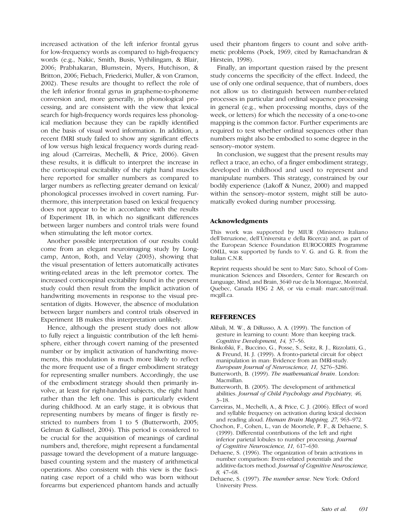increased activation of the left inferior frontal gyrus for low-frequency words as compared to high-frequency words (e.g., Nakic, Smith, Busis, Vythilingam, & Blair, 2006; Prabhakaran, Blumstein, Myers, Hutchison, & Britton, 2006; Fiebach, Friederici, Muller, & von Cramon, 2002). These results are thought to reflect the role of the left inferior frontal gyrus in grapheme-to-phoneme conversion and, more generally, in phonological processing, and are consistent with the view that lexical search for high-frequency words requires less phonological mediation because they can be rapidly identified on the basis of visual word information. In addition, a recent fMRI study failed to show any significant effects of low versus high lexical frequency words during reading aloud (Carreiras, Mechelli, & Price, 2006). Given these results, it is difficult to interpret the increase in the corticospinal excitability of the right hand muscles here reported for smaller numbers as compared to larger numbers as reflecting greater demand on lexical/ phonological processes involved in covert naming. Furthermore, this interpretation based on lexical frequency does not appear to be in accordance with the results of Experiment 1B, in which no significant differences between larger numbers and control trials were found when stimulating the left motor cortex.

Another possible interpretation of our results could come from an elegant neuroimaging study by Longcamp, Anton, Roth, and Velay (2003), showing that the visual presentation of letters automatically activates writing-related areas in the left premotor cortex. The increased corticospinal excitability found in the present study could then result from the implicit activation of handwriting movements in response to the visual presentation of digits. However, the absence of modulation between larger numbers and control trials observed in Experiment 1B makes this interpretation unlikely.

Hence, although the present study does not allow to fully reject a linguistic contribution of the left hemisphere, either through covert naming of the presented number or by implicit activation of handwriting movements, this modulation is much more likely to reflect the more frequent use of a finger embodiment strategy for representing smaller numbers. Accordingly, the use of the embodiment strategy should then primarily involve, at least for right-handed subjects, the right hand rather than the left one. This is particularly evident during childhood. At an early stage, it is obvious that representing numbers by means of finger is firstly restricted to numbers from 1 to 5 (Butterworth, 2005; Gelman & Gallistel, 2004). This period is considered to be crucial for the acquisition of meanings of cardinal numbers and, therefore, might represent a fundamental passage toward the development of a mature languagebased counting system and the mastery of arithmetical operations. Also consistent with this view is the fascinating case report of a child who was born without forearms but experienced phantom hands and actually used their phantom fingers to count and solve arithmetic problems (Poek, 1969, cited by Ramachandran & Hirstein, 1998).

Finally, an important question raised by the present study concerns the specificity of the effect. Indeed, the use of only one ordinal sequence, that of numbers, does not allow us to distinguish between number-related processes in particular and ordinal sequence processing in general (e.g., when processing months, days of the week, or letters) for which the necessity of a one-to-one mapping is the common factor. Further experiments are required to test whether ordinal sequences other than numbers might also be embodied to some degree in the sensory–motor system.

In conclusion, we suggest that the present results may reflect a trace, an echo, of a finger embodiment strategy, developed in childhood and used to represent and manipulate numbers. This strategy, constrained by our bodily experience (Lakoff & Nunez, 2000) and mapped within the sensory–motor system, might still be automatically evoked during number processing.

# Acknowledgments

This work was supported by MIUR (Ministero Italiano dell'Istruzione, dell'Universita e della Ricerca) and, as part of the European Science Foundation EUROCORES Programme OMLL, was supported by funds to V. G. and G. R. from the Italian C.N.R.

Reprint requests should be sent to Marc Sato, School of Communication Sciences and Disorders, Center for Research on Language, Mind, and Brain, 3640 rue de la Montague, Montréal, Quebec, Canada H3G 2 A8, or via e-mail: marc.sato@mail. mcgill.ca.

#### **REFERENCES**

- Alibali, M. W., & DiRusso, A. A. (1999). The function of gesture in learning to count: More than keeping track. Cognitive Development, 14, 37–56.
- Binkofski, F., Buccino, G., Posse, S., Seitz, R. J., Rizzolatti, G., & Freund, H. J. (1999). A fronto-parietal circuit for object manipulation in man: Evidence from an fMRI-study. European Journal of Neuroscience, 11, 3276–3286.
- Butterworth, B. (1999). The mathematical brain. London: Macmillan.
- Butterworth, B. (2005). The development of arithmetical abilities. Journal of Child Psychology and Psychiatry, 46, 3–18.
- Carreiras, M., Mechelli, A., & Price, C. J. (2006). Effect of word and syllable frequency on activation during lexical decision and reading aloud. Human Brain Mapping, 27, 963–972.
- Chochon, F., Cohen, L., van de Moortele, P. F., & Dehaene, S. (1999). Differential contributions of the left and right inferior parietal lobules to number processing. Journal of Cognitive Neuroscience, 11, 617–630.
- Dehaene, S. (1996). The organization of brain activations in number comparison: Event-related potentials and the additive-factors method. Journal of Cognitive Neuroscience, 8, 47–68.
- Dehaene, S. (1997). The number sense. New York: Oxford University Press.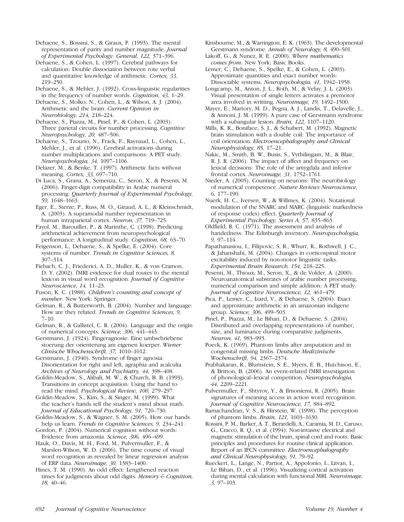Dehaene, S., Bossini, S., & Giraux, P. (1993). The mental representation of parity and number magnitude. Journal of Experimental Psychology: General, 122, 371–396.

Dehaene, S., & Cohen, L. (1997). Cerebral pathways for calculation: Double dissociation between rote verbal and quantitative knowledge of arithmetic. Cortex, 33, 219–250.

Dehaene, S., & Mehler, J. (1992). Cross-linguistic regularities in the frequency of number words. Cognition, 43, 1–29.

Dehaene, S., Molko, N., Cohen, L., & Wilson, A. J. (2004). Arithmetic and the brain. Current Opinion in Neurobiology, 214, 218–224.

Dehaene, S., Piazza, M., Pinel, P., & Cohen, L. (2003). Three parietal circuits for number processing. Cognitive Neuropsychology, 20, 487–506.

Dehaene, S., Tzourio, N., Frack, F., Raynaud, L., Cohen, L., Mehler, J., et al. (1996). Cerebral activations during number multiplications and comparisons: A PET study. Neuropsychologia, 34, 1097–1106.

Delazer, M., & Benke, T. (1997). Arithmetic facts without meaning. Cortex, 33, 697–710.

Di Luca, S., Grana, A., Semenza, C., Seron, X., & Pesenti, M. (2006). Finger-digit compatibility in Arabic numeral processing. Quarterly Journal of Experimental Psychology, 59, 1648–1663.

Eger, E., Sterze, P., Russ, M. O., Giraud, A. L., & Kleinschmidt, A. (2003). A supramodal number representation in human intraparietal cortex. Neuron, 37, 719–725.

Fayol, M., Barouillet, P., & Marinthe, C. (1998). Predicting arithmetical achievement from neuropsychological performance: A longitudinal study. Cognition, 68, 63–70.

Feigenson, L., Dehaene, S., & Spelke, E. (2004). Core systems of number. Trends in Cognitive Sciences, 8, 307–314.

Fiebach, C. J., Friederici, A. D., Muller, K., & von Cramon, D. Y. (2002). fMRI evidence for dual routes to the mental lexicon in visual word recognition. Journal of Cognitive Neuroscience, 14, 11–23.

Fuson, K. C. (1988). Children's counting and concept of number. New York: Springer.

Gelman, R., & Butterworth, B. (2004). Number and language: How are they related. Trends in Cognitive Sciences, 9, 7–10.

Gelman, R., & Gallistel, C. R. (2004). Language and the origin of numerical concepts. Science, 306, 441–443.

Gerstmann, J. (1924). Fingeragnosie: Eine umbschriebene stoerung der orienterung am eigenen koerper. Wiener Clinische Whochenschrift, 37, 1010–1012.

Gerstmann, J. (1940). Syndrome of finger agnosia: Disorientation for right and left, agraphia and acalculia. Archives of Neurology and Psychiatry, 44, 398–408.

Goldin-Meadow, S., Alibali, M. W., & Church, B. B. (1993). Transitions in concept acquisition: Using the hand to read the mind. Psychological Review, 100, 279–297.

Goldin-Meadow, S., Kim, S., & Singer, M. (1999). What the teacher's hands tell the student's mind about math. Journal of Educational Psychology, 91, 720–730.

Goldin-Meadow, S., & Wagner, S. M. (2005). How our hands help us learn. Trends in Cognitive Sciences, 9, 234-241.

Gordon, P. (2004). Numerical cognition without words: Evidence from amazonia. Science, 306, 496–499.

Hauk, O., Davis, M. H., Ford, M., Pulvermuller, F., & Marslen-Wilson, W. D. (2006). The time course of visual word recognition as revealed by linear regression analysis of ERP data. Neuroimage, 30, 1383–1400.

Hines, T. M. (1990). An odd effect: Lengthened reaction times for judgments about odd digits. Memory & Cognition, 18, 40–46.

Kinsbourne, M., & Warrington, E. K. (1963). The developmental Gerstmann syndrome. Annals of Neurology, 8, 490–501.

Lakoff, G., & Nunez, R. E. (2000). Where mathematics comes from. New York: Basic Books.

Lemer, C., Dehaene, S., Spelke, E., & Cohen, L. (2003). Approximate quantities and exact number words: Dissociable systems. Neuropsychologia, 41, 1942–1958.

Longcamp, M., Anton, J. L., Roth, M., & Velay, J. L. (2003). Visual presentation of single letters activates a premotor area involved in writting. Neuroimage, 19, 1492–1500.

Mayer, E., Martory, M. D., Pegna, A. J., Landis, T., Delavelle, J., & Annoni, J. M. (1999). A pure case of Gerstmann syndrome with a subangular lesion. Brain, 122, 1107-1120.

Mills, K. R., Boniface, S. J., & Schubert, M. (1992). Magnetic brain stimulation with a double coil: The importance of coil orientation. Electroencephalography and Clinical Neurophysiology, 85, 17–21.

Nakic, M., Smith, B. W., Busis, S., Vythilingam, M., & Blair, R. J. R. (2006). The impact of affect and frequency on lexical decisions: The role of the amygdala and inferior frontal cortex. Neuroimage, 31, 1752–1761.

Nieder, A. (2005). Counting on neurons: The neurobiology of numerical competence. Nature Reviews Neuroscience, 6, 177–190.

Nuerk, H. C., Iversen, W., & Willmes, K. (2004). Notational modulation of the SNARC and MARC (linguistic markedness of response codes) effect. Quarterly Journal of Experimental Psychology, Series A, 57, 835–863.

Oldfield, R. C. (1971). The assessment and analysis of handedness: The Edinburgh inventory. Neuropsychologia, 9, 97–114.

Papathanasiou, I., Filipovic, S. R., Whurr, R., Rothwell, J. C., & Jahanshahi, M. (2004). Changes in corticospinal motor excitability induced by non-motor linguistic tasks. Experimental Brain Research, 154, 218–225.

Pesenti, M., Thioux, M., Seron, X., & de Volder, A. (2000). Neuroanatomical substrates of arabic number processing, numerical comparison and simple addition: A PET study. Journal of Cognitive Neuroscience, 12, 461–479.

Pica, P., Lemer, C., Izard, V., & Dehaene, S. (2004). Exact and approximate arithmetic in an amazonian indigene group. Science, 306, 499–503.

Pinel, P., Piazza, M., Le Bihan, D., & Dehaene, S. (2004). Distributed and overlapping representations of number, size, and luminance during comparative judgments. Neuron, 41, 983–993.

Poeck, K. (1969). Phantom limbs after amputation and in congenital missing limbs. Deutsche Medizinische Wochenschrift, 94, 2367–2374.

Prabhakaran, R., Blumstein, S. E., Myers, E. B., Hutchison, E., & Britton, B. (2006). An event-related fMRI investigation of phonological–lexical competition. Neuropsychologia, 44, 2209–2221.

Pulvermuller, F., Shtyrov, Y., & Ilmoniemi, R. (2005). Brain signatures of meaning access in action word recognition. Journal of Cognitive Neuroscience, 17, 884–892.

Ramachandran, V. S., & Hirstein, W. (1998). The perception of phantom limbs. Brain, 121, 1603–1630.

Rossini, P. M., Barker, A. T., Berardelli, A., Caramia, M. D., Caruso, G., Cracco, R. Q., et al. (1994). Non-invasive electrical and magnetic stimulation of the brain, spinal cord and roots: Basic principles and procedures for routine clinical application. Report of an IFCN committee. Electroencephalography and Clinical Neurophysiology, 91, 79–92.

Rueckert, L., Lange, N., Partiot, A., Appolonio, I., Litvan, I., Le Bihan, D., et al. (1996). Visualizing cortical activation during mental calculation with functional MRI. Neuroimage, 3, 97–103.